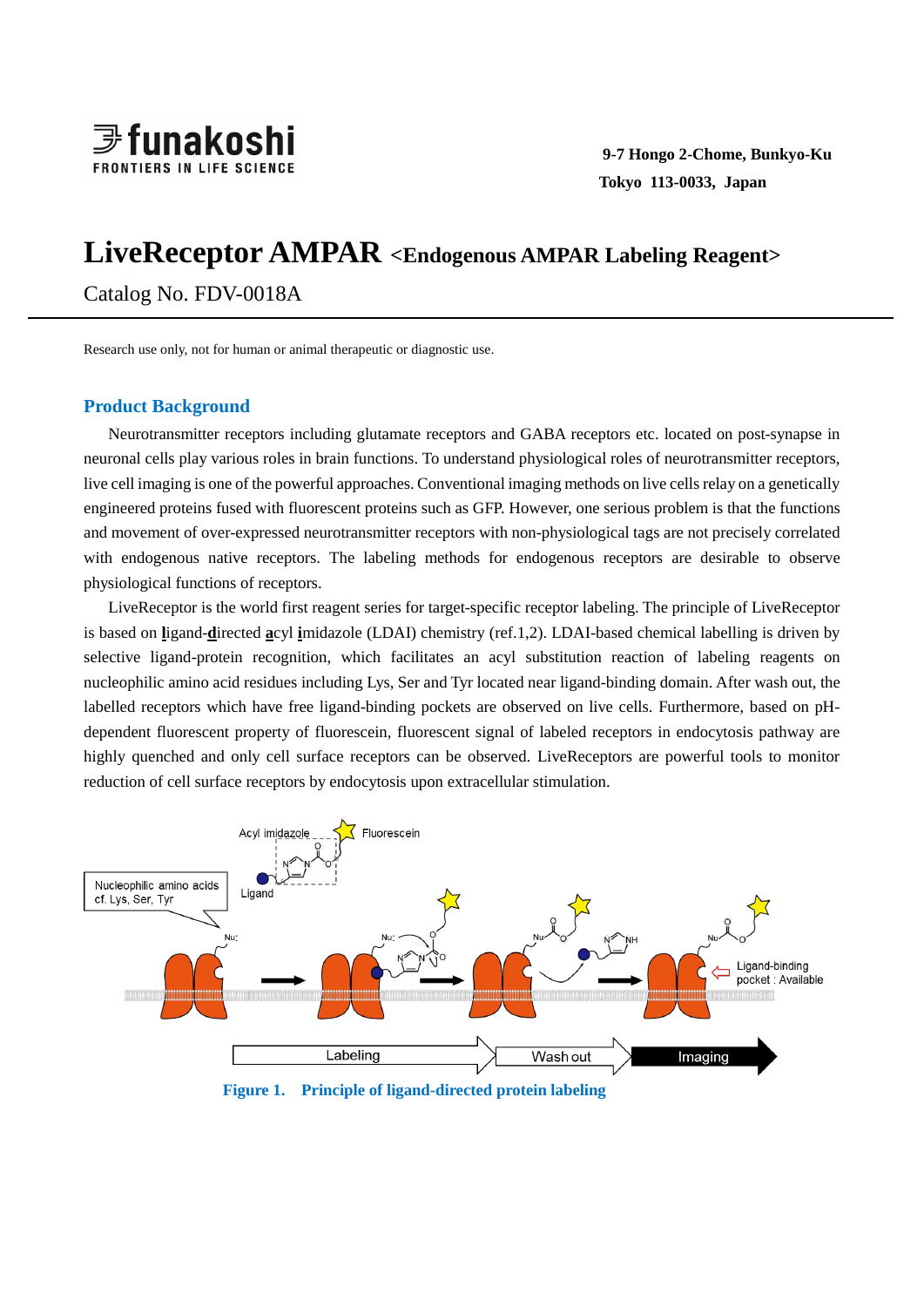

# **LiveReceptor AMPAR <Endogenous AMPAR Labeling Reagent>**

Catalog No. FDV-0018A

Research use only, not for human or animal therapeutic or diagnostic use.

# **Product Background**

Neurotransmitter receptors including glutamate receptors and GABA receptors etc. located on post-synapse in neuronal cells play various roles in brain functions. To understand physiological roles of neurotransmitter receptors, live cell imaging is one of the powerful approaches. Conventional imaging methods on live cells relay on a genetically engineered proteins fused with fluorescent proteins such as GFP. However, one serious problem is that the functions and movement of over-expressed neurotransmitter receptors with non-physiological tags are not precisely correlated with endogenous native receptors. The labeling methods for endogenous receptors are desirable to observe physiological functions of receptors.

LiveReceptor is the world first reagent series for target-specific receptor labeling. The principle of LiveReceptor is based on **l**igand-**d**irected **a**cyl **i**midazole (LDAI) chemistry (ref.1,2). LDAI-based chemical labelling is driven by selective ligand-protein recognition, which facilitates an acyl substitution reaction of labeling reagents on nucleophilic amino acid residues including Lys, Ser and Tyr located near ligand-binding domain. After wash out, the labelled receptors which have free ligand-binding pockets are observed on live cells. Furthermore, based on pHdependent fluorescent property of fluorescein, fluorescent signal of labeled receptors in endocytosis pathway are highly quenched and only cell surface receptors can be observed. LiveReceptors are powerful tools to monitor reduction of cell surface receptors by endocytosis upon extracellular stimulation.



**Figure 1. Principle of ligand-directed protein labeling**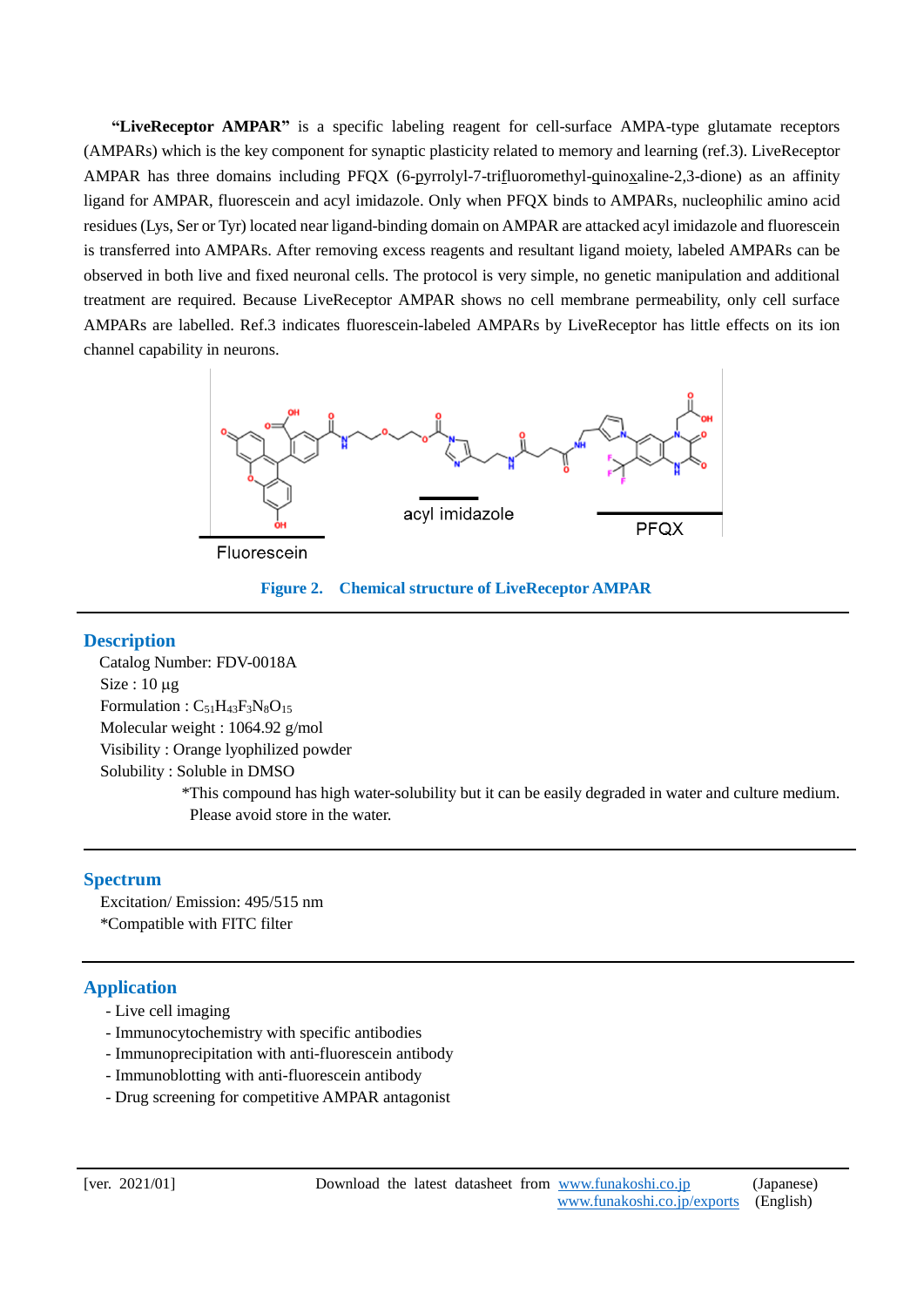**"LiveReceptor AMPAR"** is a specific labeling reagent for cell-surface AMPA-type glutamate receptors (AMPARs) which is the key component for synaptic plasticity related to memory and learning (ref.3). LiveReceptor AMPAR has three domains including PFQX (6-pyrrolyl-7-trifluoromethyl-quinoxaline-2,3-dione) as an affinity ligand for AMPAR, fluorescein and acyl imidazole. Only when PFQX binds to AMPARs, nucleophilic amino acid residues (Lys, Ser or Tyr) located near ligand-binding domain on AMPAR are attacked acyl imidazole and fluorescein is transferred into AMPARs. After removing excess reagents and resultant ligand moiety, labeled AMPARs can be observed in both live and fixed neuronal cells. The protocol is very simple, no genetic manipulation and additional treatment are required. Because LiveReceptor AMPAR shows no cell membrane permeability, only cell surface AMPARs are labelled. Ref.3 indicates fluorescein-labeled AMPARs by LiveReceptor has little effects on its ion channel capability in neurons.





# **Description**

I

 Catalog Number: FDV-0018A  $Size: 10 \mu$ g Formulation :  $C_{51}H_{43}F_3N_8O_{15}$  Molecular weight : 1064.92 g/mol Visibility : Orange lyophilized powder Solubility : Soluble in DMSO \*This compound has high water-solubility but it can be easily degraded in water and culture medium. Please avoid store in the water.

# **Spectrum**

Excitation/ Emission: 495/515 nm \*Compatible with FITC filter

# **Application**

- Live cell imaging
- Immunocytochemistry with specific antibodies
- Immunoprecipitation with anti-fluorescein antibody
- Immunoblotting with anti-fluorescein antibody
- Drug screening for competitive AMPAR antagonist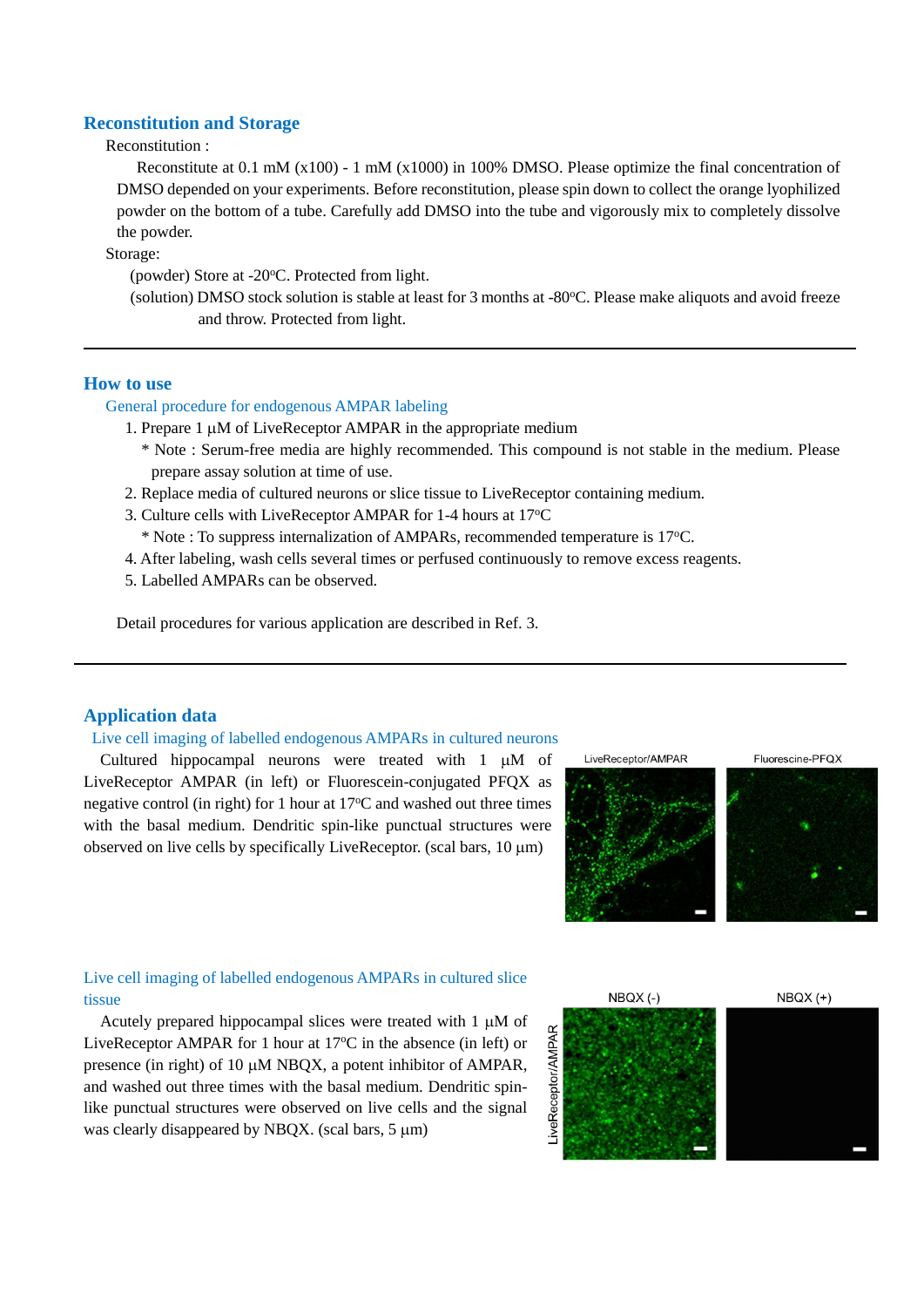# **Reconstitution and Storage**

# Reconstitution :

Reconstitute at 0.1 mM (x100) - 1 mM (x1000) in 100% DMSO. Please optimize the final concentration of DMSO depended on your experiments. Before reconstitution, please spin down to collect the orange lyophilized powder on the bottom of a tube. Carefully add DMSO into the tube and vigorously mix to completely dissolve the powder.

Storage:

(powder) Store at -20°C. Protected from light.

(solution) DMSO stock solution is stable at least for 3 months at -80°C. Please make aliquots and avoid freeze and throw. Protected from light.

## **How to use**

 $\overline{a}$ 

## General procedure for endogenous AMPAR labeling

1. Prepare  $1 \mu M$  of LiveReceptor AMPAR in the appropriate medium

- \* Note : Serum-free media are highly recommended. This compound is not stable in the medium. Please prepare assay solution at time of use.
- 2. Replace media of cultured neurons or slice tissue to LiveReceptor containing medium.
- 3. Culture cells with LiveReceptor AMPAR for 1-4 hours at 17<sup>o</sup>C
- \* Note : To suppress internalization of AMPARs, recommended temperature is 17<sup>o</sup>C.
- 4. After labeling, wash cells several times or perfused continuously to remove excess reagents.
- 5. Labelled AMPARs can be observed.

Detail procedures for various application are described in Ref. 3.

## **Application data**

#### Live cell imaging of labelled endogenous AMPARs in cultured neurons

Cultured hippocampal neurons were treated with  $1 \mu M$  of LiveReceptor AMPAR (in left) or Fluorescein-conjugated PFQX as negative control (in right) for 1 hour at  $17^{\circ}$ C and washed out three times with the basal medium. Dendritic spin-like punctual structures were observed on live cells by specifically LiveReceptor. (scal bars,  $10 \mu m$ )

LiveReceptor/AMPAR



Fluorescine-PFQX



## Live cell imaging of labelled endogenous AMPARs in cultured slice tissue

Acutely prepared hippocampal slices were treated with 1 µM of LiveReceptor AMPAR for 1 hour at  $17^{\circ}$ C in the absence (in left) or presence (in right) of 10  $\mu$ M NBQX, a potent inhibitor of AMPAR, and washed out three times with the basal medium. Dendritic spinlike punctual structures were observed on live cells and the signal was clearly disappeared by NBQX. (scal bars,  $5 \mu m$ )

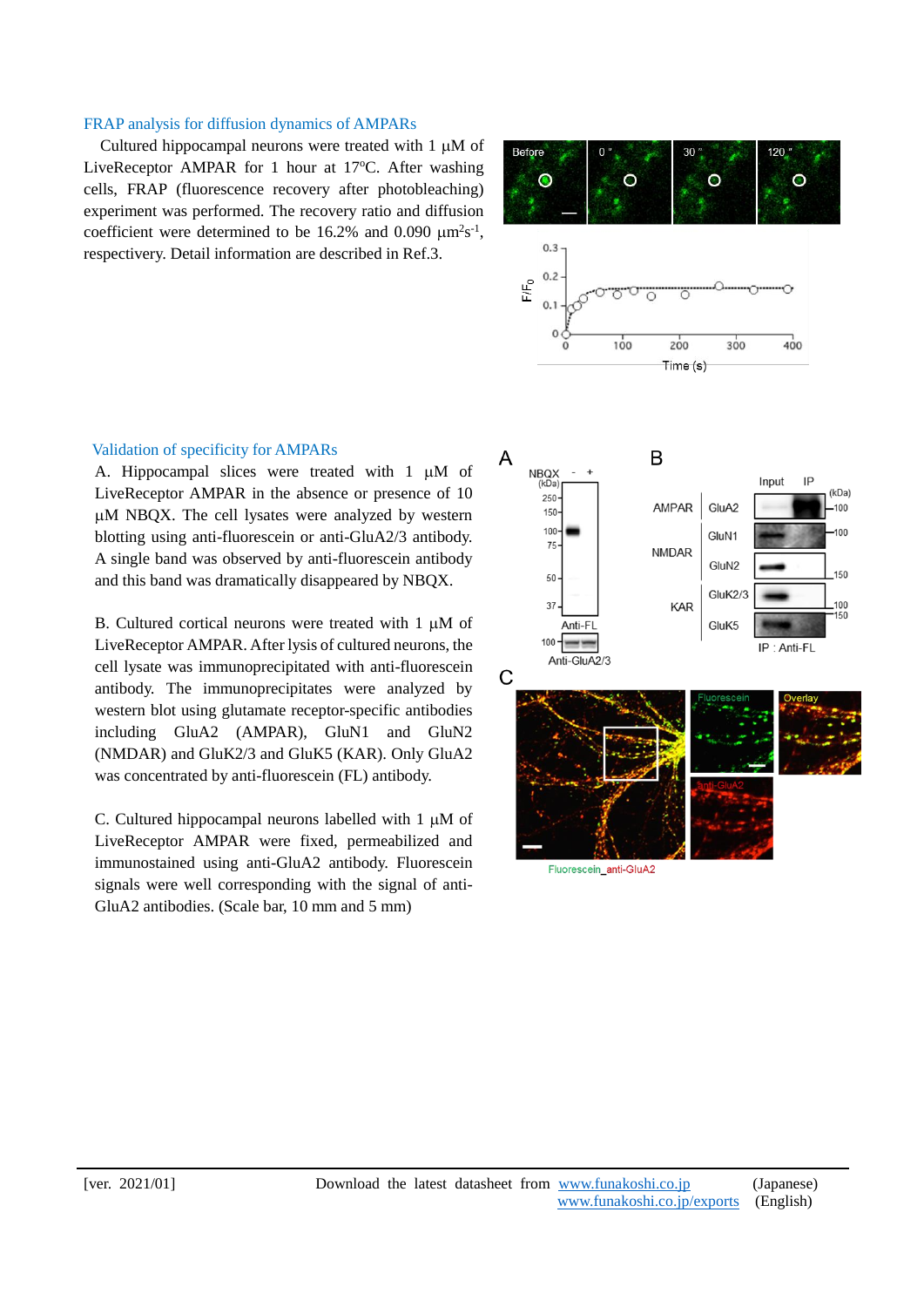## FRAP analysis for diffusion dynamics of AMPARs

Cultured hippocampal neurons were treated with  $1 \mu M$  of LiveReceptor AMPAR for 1 hour at  $17^{\circ}$ C. After washing cells, FRAP (fluorescence recovery after photobleaching) experiment was performed. The recovery ratio and diffusion coefficient were determined to be 16.2% and 0.090  $\mu$ m<sup>2</sup>s<sup>-1</sup>, respectivery. Detail information are described in Ref.3.



## Validation of specificity for AMPARs

A. Hippocampal slices were treated with  $1 \mu M$  of LiveReceptor AMPAR in the absence or presence of 10 M NBQX. The cell lysates were analyzed by western blotting using anti-fluorescein or anti-GluA2/3 antibody. A single band was observed by anti-fluorescein antibody and this band was dramatically disappeared by NBQX.

B. Cultured cortical neurons were treated with 1 uM of LiveReceptor AMPAR. After lysis of cultured neurons, the cell lysate was immunoprecipitated with anti-fluorescein antibody. The immunoprecipitates were analyzed by western blot using glutamate receptor-specific antibodies including GluA2 (AMPAR), GluN1 and GluN2 (NMDAR) and GluK2/3 and GluK5 (KAR). Only GluA2 was concentrated by anti-fluorescein (FL) antibody.

C. Cultured hippocampal neurons labelled with  $1 \mu M$  of LiveReceptor AMPAR were fixed, permeabilized and immunostained using anti-GluA2 antibody. Fluorescein signals were well corresponding with the signal of anti-GluA2 antibodies. (Scale bar, 10 mm and 5 mm)

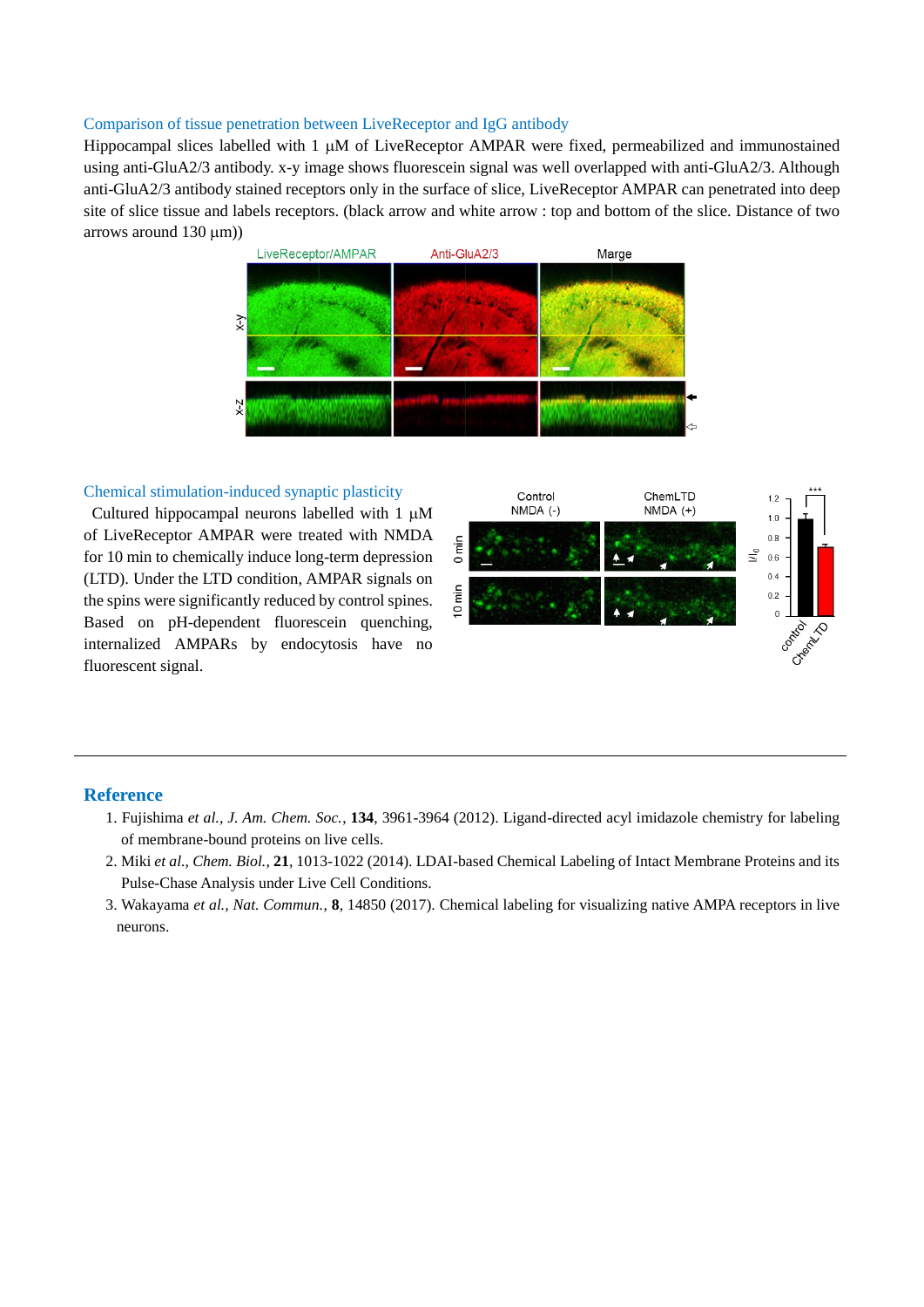### Comparison of tissue penetration between LiveReceptor and IgG antibody

Hippocampal slices labelled with  $1 \mu M$  of LiveReceptor AMPAR were fixed, permeabilized and immunostained using anti-GluA2/3 antibody. x-y image shows fluorescein signal was well overlapped with anti-GluA2/3. Although anti-GluA2/3 antibody stained receptors only in the surface of slice, LiveReceptor AMPAR can penetrated into deep site of slice tissue and labels receptors. (black arrow and white arrow : top and bottom of the slice. Distance of two arrows around  $130 \text{ }\mu\text{m}$ )



## Chemical stimulation-induced synaptic plasticity

Cultured hippocampal neurons labelled with  $1 \mu M$ of LiveReceptor AMPAR were treated with NMDA for 10 min to chemically induce long-term depression (LTD). Under the LTD condition, AMPAR signals on the spins were significantly reduced by control spines. Based on pH-dependent fluorescein quenching, internalized AMPARs by endocytosis have no fluorescent signal.



#### **Reference**

- 1. Fujishima *et al., J. Am. Chem. Soc.*, **134**, 3961-3964 (2012). Ligand-directed acyl imidazole chemistry for labeling of membrane-bound proteins on live cells.
- 2. Miki *et al., Chem. Biol.*, **21**, 1013-1022 (2014). LDAI-based Chemical Labeling of Intact Membrane Proteins and its Pulse-Chase Analysis under Live Cell Conditions.
- 3. Wakayama *et al., Nat. Commun.*, **8**, 14850 (2017). Chemical labeling for visualizing native AMPA receptors in live neurons.